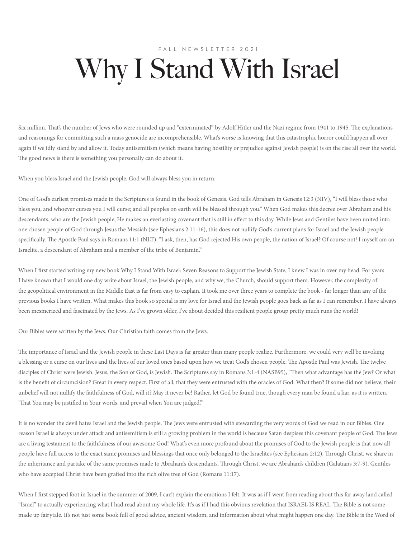## FALL NEWSLETTER 2021 Why I Stand With Israel

Six million. That's the number of Jews who were rounded up and "exterminated" by Adolf Hitler and the Nazi regime from 1941 to 1945. The explanations and reasonings for committing such a mass genocide are incomprehensible. What's worse is knowing that this catastrophic horror could happen all over again if we idly stand by and allow it. Today antisemitism (which means having hostility or prejudice against Jewish people) is on the rise all over the world. The good news is there is something you personally can do about it.

When you bless Israel and the Jewish people, God will always bless you in return.

One of God's earliest promises made in the Scriptures is found in the book of Genesis. God tells Abraham in Genesis 12:3 (NIV), "I will bless those who bless you, and whoever curses you I will curse; and all peoples on earth will be blessed through you." When God makes this decree over Abraham and his descendants, who are the Jewish people, He makes an everlasting covenant that is still in effect to this day. While Jews and Gentiles have been united into one chosen people of God through Jesus the Messiah (see Ephesians 2:11-16), this does not nullify God's current plans for Israel and the Jewish people specifically. The Apostle Paul says in Romans 11:1 (NLT), "I ask, then, has God rejected His own people, the nation of Israel? Of course not! I myself am an Israelite, a descendant of Abraham and a member of the tribe of Benjamin."

When I first started writing my new book Why I Stand With Israel: Seven Reasons to Support the Jewish State, I knew I was in over my head. For years I have known that I would one day write about Israel, the Jewish people, and why we, the Church, should support them. However, the complexity of the geopolitical environment in the Middle East is far from easy to explain. It took me over three years to complete the book - far longer than any of the previous books I have written. What makes this book so special is my love for Israel and the Jewish people goes back as far as I can remember. I have always been mesmerized and fascinated by the Jews. As I've grown older, I've about decided this resilient people group pretty much runs the world!

Our Bibles were written by the Jews. Our Christian faith comes from the Jews.

The importance of Israel and the Jewish people in these Last Days is far greater than many people realize. Furthermore, we could very well be invoking a blessing or a curse on our lives and the lives of our loved ones based upon how we treat God's chosen people. The Apostle Paul was Jewish. The twelve disciples of Christ were Jewish. Jesus, the Son of God, is Jewish. The Scriptures say in Romans 3:1-4 (NASB95), "Then what advantage has the Jew? Or what is the benefit of circumcision? Great in every respect. First of all, that they were entrusted with the oracles of God. What then? If some did not believe, their unbelief will not nullify the faithfulness of God, will it? May it never be! Rather, let God be found true, though every man be found a liar, as it is written, 'That You may be justified in Your words, and prevail when You are judged.'"

It is no wonder the devil hates Israel and the Jewish people. The Jews were entrusted with stewarding the very words of God we read in our Bibles. One reason Israel is always under attack and antisemitism is still a growing problem in the world is because Satan despises this covenant people of God. The Jews are a living testament to the faithfulness of our awesome God! What's even more profound about the promises of God to the Jewish people is that now all people have full access to the exact same promises and blessings that once only belonged to the Israelites (see Ephesians 2:12). Through Christ, we share in the inheritance and partake of the same promises made to Abraham's descendants. Through Christ, we are Abraham's children (Galatians 3:7-9). Gentiles who have accepted Christ have been grafted into the rich olive tree of God (Romans 11:17).

When I first stepped foot in Israel in the summer of 2009, I can't explain the emotions I felt. It was as if I went from reading about this far away land called "Israel" to actually experiencing what I had read about my whole life. It's as if I had this obvious revelation that ISRAEL IS REAL. The Bible is not some made up fairytale. It's not just some book full of good advice, ancient wisdom, and information about what might happen one day. The Bible is the Word of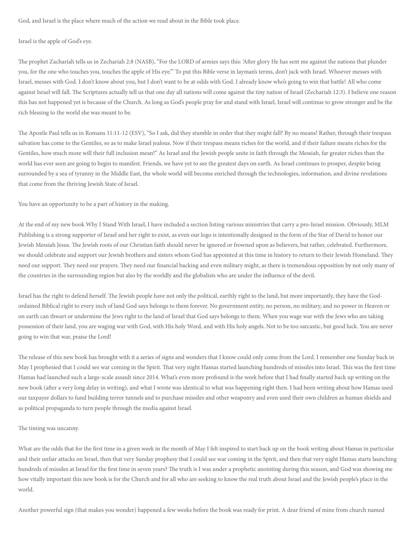God, and Israel is the place where much of the action we read about in the Bible took place.

Israel is the apple of God's eye.

The prophet Zachariah tells us in Zechariah 2:8 (NASB), "For the LORD of armies says this: 'After glory He has sent me against the nations that plunder you, for the one who touches you, touches the apple of His eye.'" To put this Bible verse in layman's terms, don't jack with Israel. Whoever messes with Israel, messes with God. I don't know about you, but I don't want to be at odds with God. I already know who's going to win that battle! All who come against Israel will fall. The Scriptures actually tell us that one day all nations will come against the tiny nation of Israel (Zechariah 12:3). I believe one reason this has not happened yet is because of the Church. As long as God's people pray for and stand with Israel, Israel will continue to grow stronger and be the rich blessing to the world she was meant to be.

The Apostle Paul tells us in Romans 11:11-12 (ESV), "So I ask, did they stumble in order that they might fall? By no means! Rather, through their trespass salvation has come to the Gentiles, so as to make Israel jealous. Now if their trespass means riches for the world, and if their failure means riches for the Gentiles, how much more will their full inclusion mean!" As Israel and the Jewish people unite in faith through the Messiah, far greater riches than the world has ever seen are going to begin to manifest. Friends, we have yet to see the greatest days on earth. As Israel continues to prosper, despite being surrounded by a sea of tyranny in the Middle East, the whole world will become enriched through the technologies, information, and divine revelations that come from the thriving Jewish State of Israel.

You have an opportunity to be a part of history in the making.

At the end of my new book Why I Stand With Israel, I have included a section listing various ministries that carry a pro-Israel mission. Obviously, MLM Publishing is a strong supporter of Israel and her right to exist, as even our logo is intentionally designed in the form of the Star of David to honor our Jewish Messiah Jesus. The Jewish roots of our Christian faith should never be ignored or frowned upon as believers, but rather, celebrated. Furthermore, we should celebrate and support our Jewish brothers and sisters whom God has appointed at this time in history to return to their Jewish Homeland. They need our support. They need our prayers. They need our financial backing and even military might, as there is tremendous opposition by not only many of the countries in the surrounding region but also by the worldly and the globalists who are under the influence of the devil.

Israel has the right to defend herself. The Jewish people have not only the political, earthly right to the land, but more importantly, they have the Godordained Biblical right to every inch of land God says belongs to them forever. No government entity, no person, no military, and no power in Heaven or on earth can thwart or undermine the Jews right to the land of Israel that God says belongs to them. When you wage war with the Jews who are taking possession of their land, you are waging war with God, with His holy Word, and with His holy angels. Not to be too sarcastic, but good luck. You are never going to win that war, praise the Lord!

The release of this new book has brought with it a series of signs and wonders that I know could only come from the Lord. I remember one Sunday back in May I prophesied that I could see war coming in the Spirit. That very night Hamas started launching hundreds of missiles into Israel. This was the first time Hamas had launched such a large-scale assault since 2014. What's even more profound is the week before that I had finally started back up writing on the new book (after a very long delay in writing), and what I wrote was identical to what was happening right then. I had been writing about how Hamas used our taxpayer dollars to fund building terror tunnels and to purchase missiles and other weaponry and even used their own children as human shields and as political propaganda to turn people through the media against Israel.

## The timing was uncanny.

What are the odds that for the first time in a given week in the month of May I felt inspired to start back up on the book writing about Hamas in particular and their unfair attacks on Israel, then that very Sunday prophesy that I could see war coming in the Spirit, and then that very night Hamas starts launching hundreds of missiles at Israel for the first time in seven years? The truth is I was under a prophetic anointing during this season, and God was showing me how vitally important this new book is for the Church and for all who are seeking to know the real truth about Israel and the Jewish people's place in the world.

Another powerful sign (that makes you wonder) happened a few weeks before the book was ready for print. A dear friend of mine from church named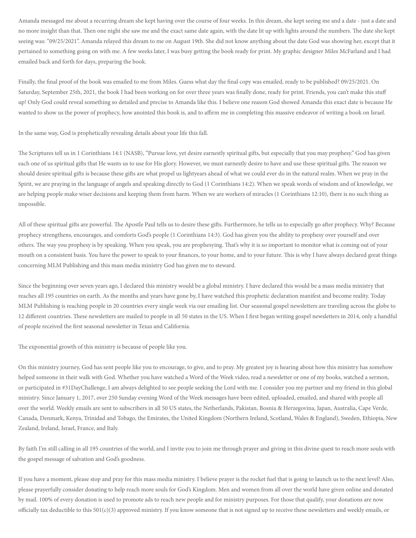Amanda messaged me about a recurring dream she kept having over the course of four weeks. In this dream, she kept seeing me and a date - just a date and no more insight than that. Then one night she saw me and the exact same date again, with the date lit up with lights around the numbers. The date she kept seeing was: "09/25/2021". Amanda relayed this dream to me on August 19th. She did not know anything about the date God was showing her, except that it pertained to something going on with me. A few weeks later, I was busy getting the book ready for print. My graphic designer Miles McFarland and I had emailed back and forth for days, preparing the book.

Finally, the final proof of the book was emailed to me from Miles. Guess what day the final copy was emailed, ready to be published? 09/25/2021. On Saturday, September 25th, 2021, the book I had been working on for over three years was finally done, ready for print. Friends, you can't make this stuff up! Only God could reveal something so detailed and precise to Amanda like this. I believe one reason God showed Amanda this exact date is because He wanted to show us the power of prophecy, how anointed this book is, and to affirm me in completing this massive endeavor of writing a book on Israel.

In the same way, God is prophetically revealing details about your life this fall.

The Scriptures tell us in 1 Corinthians 14:1 (NASB), "Pursue love, yet desire earnestly spiritual gifts, but especially that you may prophesy." God has given each one of us spiritual gifts that He wants us to use for His glory. However, we must earnestly desire to have and use these spiritual gifts. The reason we should desire spiritual gifts is because these gifts are what propel us lightyears ahead of what we could ever do in the natural realm. When we pray in the Spirit, we are praying in the language of angels and speaking directly to God (1 Corinthians 14:2). When we speak words of wisdom and of knowledge, we are helping people make wiser decisions and keeping them from harm. When we are workers of miracles (1 Corinthians 12:10), there is no such thing as impossible.

All of these spiritual gifts are powerful. The Apostle Paul tells us to desire these gifts. Furthermore, he tells us to especially go after prophecy. Why? Because prophecy strengthens, encourages, and comforts God's people (1 Corinthians 14:3). God has given you the ability to prophesy over yourself and over others. The way you prophesy is by speaking. When you speak, you are prophesying. That's why it is so important to monitor what is coming out of your mouth on a consistent basis. You have the power to speak to your finances, to your home, and to your future. This is why I have always declared great things concerning MLM Publishing and this mass media ministry God has given me to steward.

Since the beginning over seven years ago, I declared this ministry would be a global ministry. I have declared this would be a mass media ministry that reaches all 195 countries on earth. As the months and years have gone by, I have watched this prophetic declaration manifest and become reality. Today MLM Publishing is reaching people in 20 countries every single week via our emailing list. Our seasonal gospel newsletters are traveling across the globe to 12 different countries. These newsletters are mailed to people in all 50 states in the US. When I first began writing gospel newsletters in 2014, only a handful of people received the first seasonal newsletter in Texas and California.

The exponential growth of this ministry is because of people like you.

On this ministry journey, God has sent people like you to encourage, to give, and to pray. My greatest joy is hearing about how this ministry has somehow helped someone in their walk with God. Whether you have watched a Word of the Week video, read a newsletter or one of my books, watched a sermon, or participated in #31DayChallenge, I am always delighted to see people seeking the Lord with me. I consider you my partner and my friend in this global ministry. Since January 1, 2017, over 250 Sunday evening Word of the Week messages have been edited, uploaded, emailed, and shared with people all over the world. Weekly emails are sent to subscribers in all 50 US states, the Netherlands, Pakistan, Bosnia & Herzegovina, Japan, Australia, Cape Verde, Canada, Denmark, Kenya, Trinidad and Tobago, the Emirates, the United Kingdom (Northern Ireland, Scotland, Wales & England), Sweden, Ethiopia, New Zealand, Ireland, Israel, France, and Italy.

By faith I'm still calling in all 195 countries of the world, and I invite you to join me through prayer and giving in this divine quest to reach more souls with the gospel message of salvation and God's goodness.

If you have a moment, please stop and pray for this mass media ministry. I believe prayer is the rocket fuel that is going to launch us to the next level! Also, please prayerfully consider donating to help reach more souls for God's Kingdom. Men and women from all over the world have given online and donated by mail. 100% of every donation is used to promote ads to reach new people and for ministry purposes. For those that qualify, your donations are now officially tax deductible to this  $501(c)(3)$  approved ministry. If you know someone that is not signed up to receive these newsletters and weekly emails, or